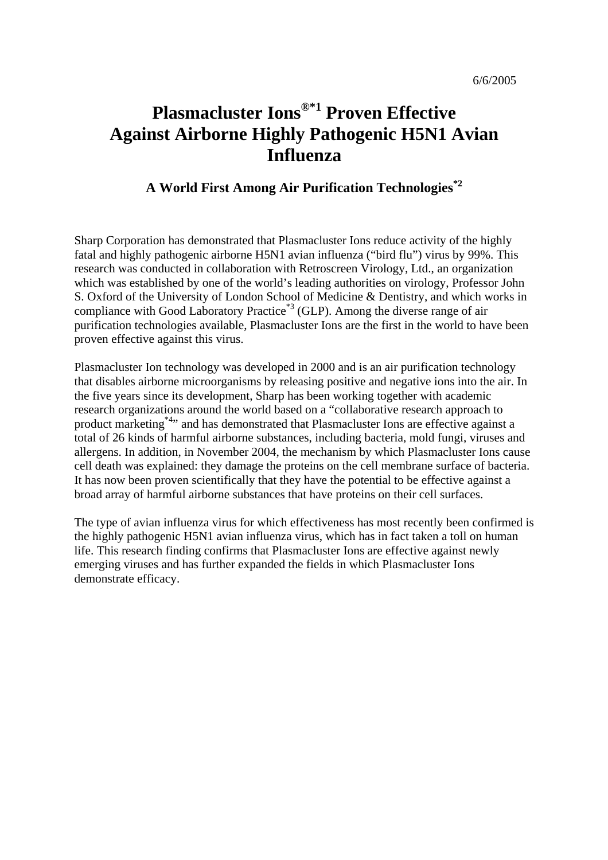# **Plasmacluster Ions®\*1 Proven Effective Against Airborne Highly Pathogenic H5N1 Avian Influenza**

### **A World First Among Air Purification Technologies\*2**

Sharp Corporation has demonstrated that Plasmacluster Ions reduce activity of the highly fatal and highly pathogenic airborne H5N1 avian influenza ("bird flu") virus by 99%. This research was conducted in collaboration with Retroscreen Virology, Ltd., an organization which was established by one of the world's leading authorities on virology, Professor John S. Oxford of the University of London School of Medicine & Dentistry, and which works in compliance with Good Laboratory Practice<sup>\*3</sup> (GLP). Among the diverse range of air purification technologies available, Plasmacluster Ions are the first in the world to have been proven effective against this virus.

Plasmacluster Ion technology was developed in 2000 and is an air purification technology that disables airborne microorganisms by releasing positive and negative ions into the air. In the five years since its development, Sharp has been working together with academic research organizations around the world based on a "collaborative research approach to product marketing\*4" and has demonstrated that Plasmacluster Ions are effective against a total of 26 kinds of harmful airborne substances, including bacteria, mold fungi, viruses and allergens. In addition, in November 2004, the mechanism by which Plasmacluster Ions cause cell death was explained: they damage the proteins on the cell membrane surface of bacteria. It has now been proven scientifically that they have the potential to be effective against a broad array of harmful airborne substances that have proteins on their cell surfaces.

The type of avian influenza virus for which effectiveness has most recently been confirmed is the highly pathogenic H5N1 avian influenza virus, which has in fact taken a toll on human life. This research finding confirms that Plasmacluster Ions are effective against newly emerging viruses and has further expanded the fields in which Plasmacluster Ions demonstrate efficacy.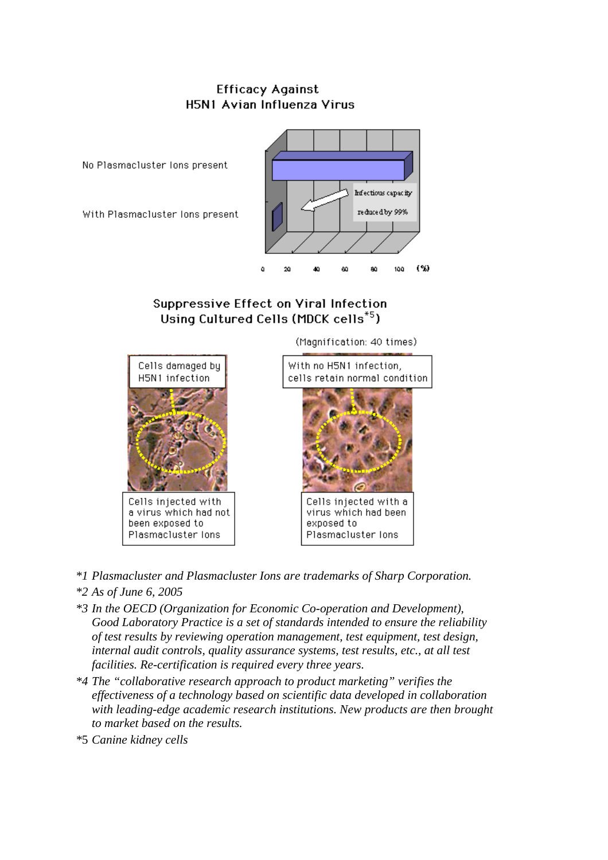### **Efficacy Against** H5N1 Avian Influenza Virus



### Suppressive Effect on Viral Infection Using Cultured Cells (MDCK cells\*5)

(Magnification: 40 times)



a virus which had not been exposed to Plasmacluster lons





Cells injected with a virus which had been exposed to Plasmacluster lons

- *\*1 Plasmacluster and Plasmacluster Ions are trademarks of Sharp Corporation. \*2 As of June 6, 2005*
- *\*3 In the OECD (Organization for Economic Co-operation and Development), Good Laboratory Practice is a set of standards intended to ensure the reliability of test results by reviewing operation management, test equipment, test design, internal audit controls, quality assurance systems, test results, etc., at all test facilities. Re-certification is required every three years.*
- *\*4 The "collaborative research approach to product marketing" verifies the effectiveness of a technology based on scientific data developed in collaboration with leading-edge academic research institutions. New products are then brought to market based on the results.*
- *\**5 *Canine kidney cells*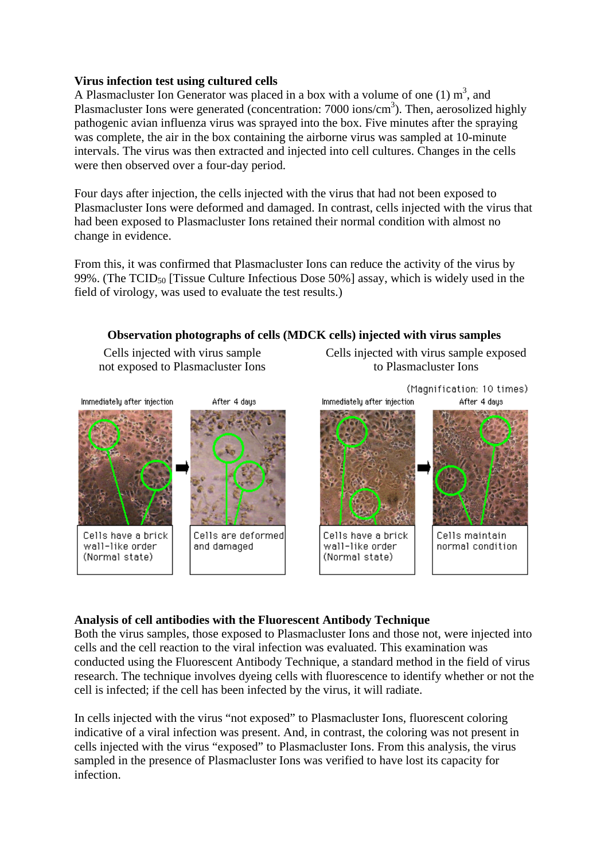### **Virus infection test using cultured cells**

A Plasmacluster Ion Generator was placed in a box with a volume of one  $(1)$  m<sup>3</sup>, and Plasmacluster Ions were generated (concentration: 7000 ions/cm<sup>3</sup>). Then, aerosolized highly pathogenic avian influenza virus was sprayed into the box. Five minutes after the spraying was complete, the air in the box containing the airborne virus was sampled at 10-minute intervals. The virus was then extracted and injected into cell cultures. Changes in the cells were then observed over a four-day period.

Four days after injection, the cells injected with the virus that had not been exposed to Plasmacluster Ions were deformed and damaged. In contrast, cells injected with the virus that had been exposed to Plasmacluster Ions retained their normal condition with almost no change in evidence.

From this, it was confirmed that Plasmacluster Ions can reduce the activity of the virus by 99%. (The TCID<sub>50</sub> [Tissue Culture Infectious Dose 50%] assay, which is widely used in the field of virology, was used to evaluate the test results.)



### **Analysis of cell antibodies with the Fluorescent Antibody Technique**

Both the virus samples, those exposed to Plasmacluster Ions and those not, were injected into cells and the cell reaction to the viral infection was evaluated. This examination was conducted using the Fluorescent Antibody Technique, a standard method in the field of virus research. The technique involves dyeing cells with fluorescence to identify whether or not the cell is infected; if the cell has been infected by the virus, it will radiate.

In cells injected with the virus "not exposed" to Plasmacluster Ions, fluorescent coloring indicative of a viral infection was present. And, in contrast, the coloring was not present in cells injected with the virus "exposed" to Plasmacluster Ions. From this analysis, the virus sampled in the presence of Plasmacluster Ions was verified to have lost its capacity for infection.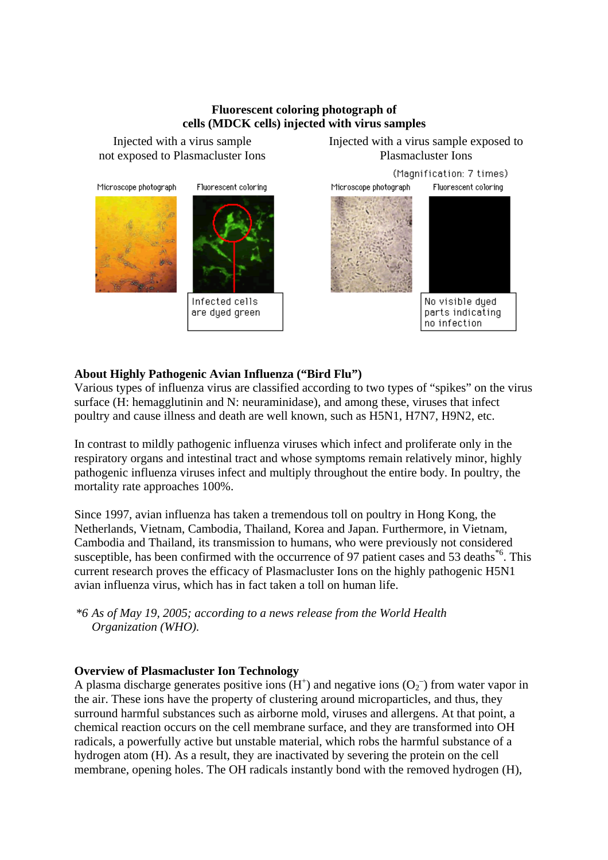### **Fluorescent coloring photograph of cells (MDCK cells) injected with virus samples**

Injected with a virus sample

Injected with a virus sample<br>
Injected with a virus sample exposed to<br>
Plasmacluster Ions
Plasmacluster Ions
Plasmacluster Ions
Plasmacluster Ions
Plasmacluster Ions
Plasmacluster Ions
Plasmacluster Ions
Plasmacluster Ions Plasmacluster Ions



### **About Highly Pathogenic Avian Influenza ("Bird Flu")**

Various types of influenza virus are classified according to two types of "spikes" on the virus surface (H: hemagglutinin and N: neuraminidase), and among these, viruses that infect poultry and cause illness and death are well known, such as H5N1, H7N7, H9N2, etc.

In contrast to mildly pathogenic influenza viruses which infect and proliferate only in the respiratory organs and intestinal tract and whose symptoms remain relatively minor, highly pathogenic influenza viruses infect and multiply throughout the entire body. In poultry, the mortality rate approaches 100%.

Since 1997, avian influenza has taken a tremendous toll on poultry in Hong Kong, the Netherlands, Vietnam, Cambodia, Thailand, Korea and Japan. Furthermore, in Vietnam, Cambodia and Thailand, its transmission to humans, who were previously not considered susceptible, has been confirmed with the occurrence of 97 patient cases and 53 deaths<sup>\*6</sup>. This current research proves the efficacy of Plasmacluster Ions on the highly pathogenic H5N1 avian influenza virus, which has in fact taken a toll on human life.

*\*6 As of May 19, 2005; according to a news release from the World Health Organization (WHO).*

### **Overview of Plasmacluster Ion Technology**

A plasma discharge generates positive ions  $(H<sup>+</sup>)$  and negative ions  $(O<sub>2</sub>)$  from water vapor in the air. These ions have the property of clustering around microparticles, and thus, they surround harmful substances such as airborne mold, viruses and allergens. At that point, a chemical reaction occurs on the cell membrane surface, and they are transformed into OH radicals, a powerfully active but unstable material, which robs the harmful substance of a hydrogen atom (H). As a result, they are inactivated by severing the protein on the cell membrane, opening holes. The OH radicals instantly bond with the removed hydrogen (H),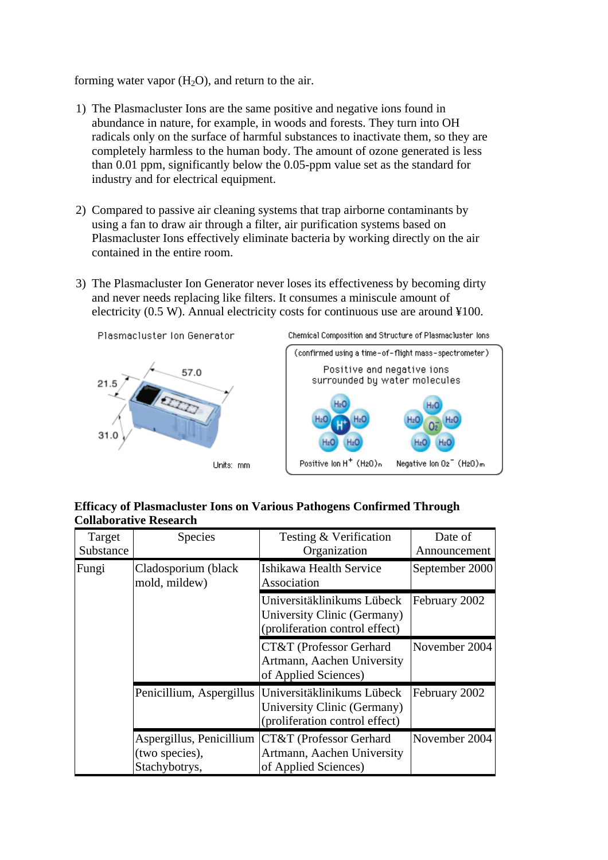### forming water vapor  $(H_2O)$ , and return to the air.

- 1) The Plasmacluster Ions are the same positive and negative ions found in abundance in nature, for example, in woods and forests. They turn into OH radicals only on the surface of harmful substances to inactivate them, so they are completely harmless to the human body. The amount of ozone generated is less than 0.01 ppm, significantly below the 0.05-ppm value set as the standard for industry and for electrical equipment.
- 2) Compared to passive air cleaning systems that trap airborne contaminants by using a fan to draw air through a filter, air purification systems based on Plasmacluster Ions effectively eliminate bacteria by working directly on the air contained in the entire room.
- 3) The Plasmacluster Ion Generator never loses its effectiveness by becoming dirty and never needs replacing like filters. It consumes a miniscule amount of electricity (0.5 W). Annual electricity costs for continuous use are around ¥100.



### **Efficacy of Plasmacluster Ions on Various Pathogens Confirmed Through Collaborative Research**

| Target    | Species                                                     | Testing & Verification                                                                      | Date of        |
|-----------|-------------------------------------------------------------|---------------------------------------------------------------------------------------------|----------------|
| Substance |                                                             | Organization                                                                                | Announcement   |
| Fungi     | Cladosporium (black<br>mold, mildew)                        | Ishikawa Health Service<br>Association                                                      | September 2000 |
|           |                                                             | Universitäklinikums Lübeck<br>University Clinic (Germany)<br>(proliferation control effect) | February 2002  |
|           |                                                             | CT&T (Professor Gerhard<br>Artmann, Aachen University<br>of Applied Sciences)               | November 2004  |
|           | Penicillium, Aspergillus                                    | Universitäklinikums Lübeck<br>University Clinic (Germany)<br>(proliferation control effect) | February 2002  |
|           | Aspergillus, Penicillium<br>(two species),<br>Stachybotrys, | CT&T (Professor Gerhard<br>Artmann, Aachen University<br>of Applied Sciences)               | November 2004  |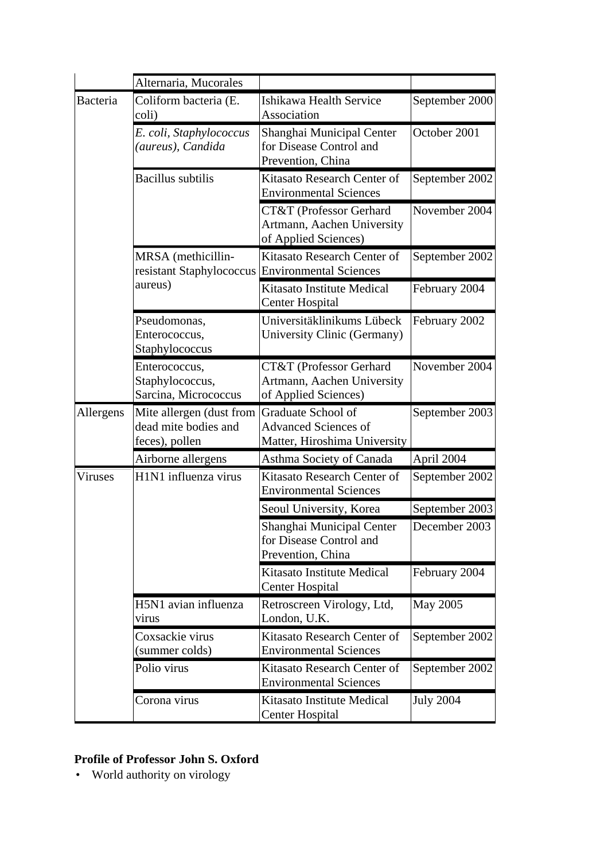|                | Alternaria, Mucorales                                              |                                                                                   |                  |
|----------------|--------------------------------------------------------------------|-----------------------------------------------------------------------------------|------------------|
| Bacteria       | Coliform bacteria (E.<br>coli)                                     | Ishikawa Health Service<br>Association                                            | September 2000   |
|                | E. coli, Staphylococcus<br>(aureus), Candida                       | Shanghai Municipal Center<br>for Disease Control and<br>Prevention, China         | October 2001     |
|                | <b>Bacillus</b> subtilis                                           | Kitasato Research Center of<br><b>Environmental Sciences</b>                      | September 2002   |
|                |                                                                    | CT&T (Professor Gerhard<br>Artmann, Aachen University<br>of Applied Sciences)     | November 2004    |
|                | MRSA (methicillin-<br>resistant Staphylococcus                     | Kitasato Research Center of<br><b>Environmental Sciences</b>                      | September 2002   |
|                | aureus)                                                            | Kitasato Institute Medical<br><b>Center Hospital</b>                              | February 2004    |
|                | Pseudomonas,<br>Enterococcus,<br>Staphylococcus                    | Universitäklinikums Lübeck<br>University Clinic (Germany)                         | February 2002    |
|                | Enterococcus,<br>Staphylococcus,<br>Sarcina, Micrococcus           | CT&T (Professor Gerhard<br>Artmann, Aachen University<br>of Applied Sciences)     | November 2004    |
| Allergens      | Mite allergen (dust from<br>dead mite bodies and<br>feces), pollen | Graduate School of<br><b>Advanced Sciences of</b><br>Matter, Hiroshima University | September 2003   |
|                | Airborne allergens                                                 | Asthma Society of Canada                                                          | April 2004       |
| <b>Viruses</b> | H1N1 influenza virus                                               | Kitasato Research Center of<br><b>Environmental Sciences</b>                      | September 2002   |
|                |                                                                    | Seoul University, Korea                                                           | September 2003   |
|                |                                                                    | Shanghai Municipal Center<br>for Disease Control and<br>Prevention, China         | December 2003    |
|                |                                                                    | <b>Kitasato Institute Medical</b><br><b>Center Hospital</b>                       | February 2004    |
|                | H5N1 avian influenza<br>virus                                      | Retroscreen Virology, Ltd,<br>London, U.K.                                        | May 2005         |
|                | Coxsackie virus<br>(summer colds)                                  | Kitasato Research Center of<br><b>Environmental Sciences</b>                      | September 2002   |
|                | Polio virus                                                        | Kitasato Research Center of<br><b>Environmental Sciences</b>                      | September 2002   |
|                | Corona virus                                                       | Kitasato Institute Medical<br><b>Center Hospital</b>                              | <b>July 2004</b> |

## **Profile of Professor John S. Oxford**

• World authority on virology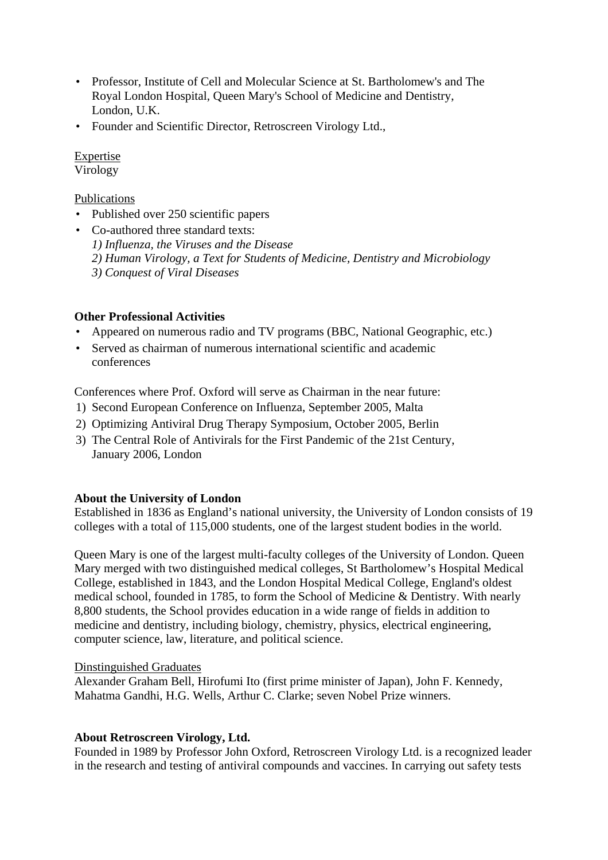- Professor, Institute of Cell and Molecular Science at St. Bartholomew's and The Royal London Hospital, Queen Mary's School of Medicine and Dentistry, London, U.K.
- Founder and Scientific Director, Retroscreen Virology Ltd.,

### Expertise

Virology

### Publications

- Published over 250 scientific papers
- Co-authored three standard texts:
	- *1) Influenza, the Viruses and the Disease*
	- *2) Human Virology, a Text for Students of Medicine, Dentistry and Microbiology*
	- *3) Conquest of Viral Diseases*

### **Other Professional Activities**

- Appeared on numerous radio and TV programs (BBC, National Geographic, etc.)
- Served as chairman of numerous international scientific and academic conferences

Conferences where Prof. Oxford will serve as Chairman in the near future:

- 1) Second European Conference on Influenza, September 2005, Malta
- 2) Optimizing Antiviral Drug Therapy Symposium, October 2005, Berlin
- 3) The Central Role of Antivirals for the First Pandemic of the 21st Century, January 2006, London

### **About the University of London**

Established in 1836 as England's national university, the University of London consists of 19 colleges with a total of 115,000 students, one of the largest student bodies in the world.

Queen Mary is one of the largest multi-faculty colleges of the University of London. Queen Mary merged with two distinguished medical colleges, St Bartholomew's Hospital Medical College, established in 1843, and the London Hospital Medical College, England's oldest medical school, founded in 1785, to form the School of Medicine & Dentistry. With nearly 8,800 students, the School provides education in a wide range of fields in addition to medicine and dentistry, including biology, chemistry, physics, electrical engineering, computer science, law, literature, and political science.

### Dinstinguished Graduates

Alexander Graham Bell, Hirofumi Ito (first prime minister of Japan), John F. Kennedy, Mahatma Gandhi, H.G. Wells, Arthur C. Clarke; seven Nobel Prize winners.

### **About Retroscreen Virology, Ltd.**

Founded in 1989 by Professor John Oxford, Retroscreen Virology Ltd. is a recognized leader in the research and testing of antiviral compounds and vaccines. In carrying out safety tests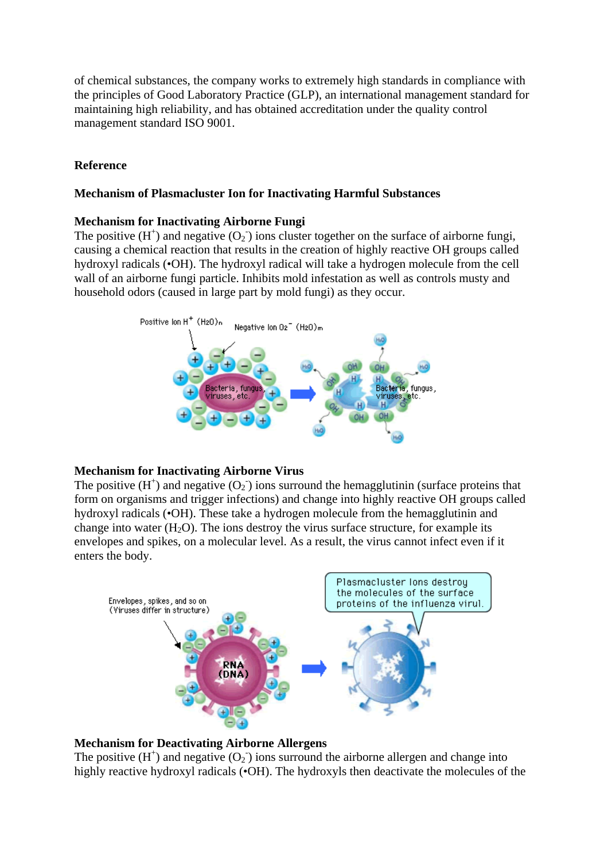of chemical substances, the company works to extremely high standards in compliance with the principles of Good Laboratory Practice (GLP), an international management standard for maintaining high reliability, and has obtained accreditation under the quality control management standard ISO 9001.

### **Reference**

#### **Mechanism of Plasmacluster Ion for Inactivating Harmful Substances**

#### **Mechanism for Inactivating Airborne Fungi**

The positive  $(H^+)$  and negative  $(O_2)$  ions cluster together on the surface of airborne fungi, causing a chemical reaction that results in the creation of highly reactive OH groups called hydroxyl radicals (•OH). The hydroxyl radical will take a hydrogen molecule from the cell wall of an airborne fungi particle. Inhibits mold infestation as well as controls musty and household odors (caused in large part by mold fungi) as they occur.



#### **Mechanism for Inactivating Airborne Virus**

The positive  $(H^+)$  and negative  $(O_2^-)$  ions surround the hemagglutinin (surface proteins that form on organisms and trigger infections) and change into highly reactive OH groups called hydroxyl radicals (•OH). These take a hydrogen molecule from the hemagglutinin and change into water  $(H_2O)$ . The ions destroy the virus surface structure, for example its envelopes and spikes, on a molecular level. As a result, the virus cannot infect even if it enters the body.



### **Mechanism for Deactivating Airborne Allergens**

The positive  $(H^+)$  and negative  $(O_2^-)$  ions surround the airborne allergen and change into highly reactive hydroxyl radicals (•OH). The hydroxyls then deactivate the molecules of the